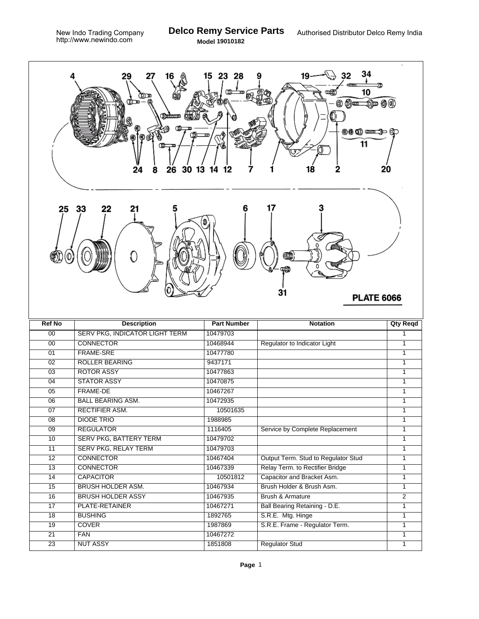

| <b>Ref No</b>   | <b>Description</b>                    | <b>Part Number</b> | <b>Notation</b>                     | <b>Qty Reqd</b> |
|-----------------|---------------------------------------|--------------------|-------------------------------------|-----------------|
| 00              | <b>SERV PKG, INDICATOR LIGHT TERM</b> | 10479703           |                                     |                 |
| 00              | <b>CONNECTOR</b>                      | 10468944           | Regulator to Indicator Light        | 1               |
| 01              | <b>FRAME-SRE</b>                      | 10477780           |                                     | 1               |
| 02              | <b>ROLLER BEARING</b>                 | 9437171            |                                     | 1               |
| 03              | <b>ROTOR ASSY</b>                     | 10477863           |                                     | 1               |
| 04              | <b>STATOR ASSY</b>                    | 10470875           |                                     | 1               |
| 05              | <b>FRAME-DE</b>                       | 10467267           |                                     | 1               |
| 06              | <b>BALL BEARING ASM.</b>              | 10472935           |                                     | 1               |
| 07              | <b>RECTIFIER ASM.</b>                 | 10501635           |                                     | 1               |
| 08              | <b>DIODE TRIO</b>                     | 1988985            |                                     | 1               |
| 09              | <b>REGULATOR</b>                      | 1116405            | Service by Complete Replacement     | 1               |
| 10              | <b>SERV PKG, BATTERY TERM</b>         | 10479702           |                                     | 1               |
| 11              | <b>SERV PKG, RELAY TERM</b>           | 10479703           |                                     |                 |
| 12              | <b>CONNECTOR</b>                      | 10467404           | Output Term. Stud to Regulator Stud | 1               |
| $\overline{13}$ | <b>CONNECTOR</b>                      | 10467339           | Relay Term. to Rectifier Bridge     | 1               |
| 14              | <b>CAPACITOR</b>                      | 10501812           | Capacitor and Bracket Asm.          | 1               |
| 15              | <b>BRUSH HOLDER ASM.</b>              | 10467934           | Brush Holder & Brush Asm.           | 1               |
| 16              | <b>BRUSH HOLDER ASSY</b>              | 10467935           | <b>Brush &amp; Armature</b>         | 2               |
| 17              | PLATE-RETAINER                        | 10467271           | Ball Bearing Retaining - D.E.       | 1               |
| 18              | <b>BUSHING</b>                        | 1892765            | S.R.E. Mtg. Hinge                   | 1               |
| $\overline{19}$ | <b>COVER</b>                          | 1987869            | S.R.E. Frame - Regulator Term.      | 1               |
| 21              | <b>FAN</b>                            | 10467272           |                                     | 1               |
| 23              | <b>NUT ASSY</b>                       | 1851808            | <b>Regulator Stud</b>               |                 |